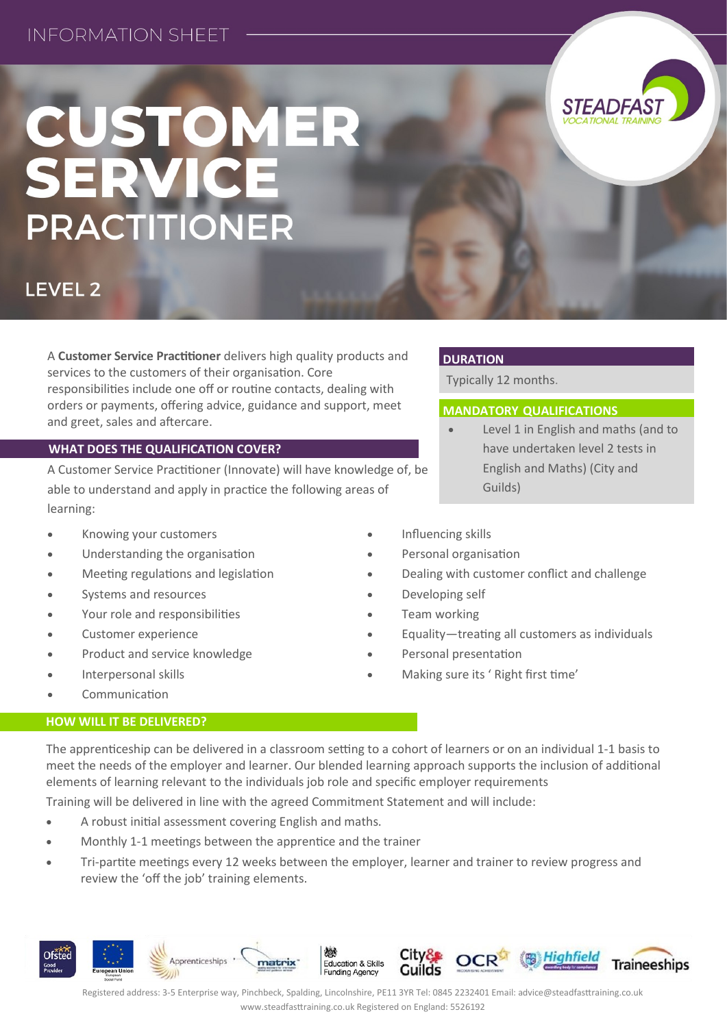# CUSTOMER<br>SERVICE **PRACTITIONER**



A **Customer Service Practitioner** delivers high quality products and services to the customers of their organisation. Core responsibilities include one off or routine contacts, dealing with orders or payments, offering advice, guidance and support, meet and greet, sales and aftercare.

### **WHAT DOES THE QUALIFICATION COVER?**

A Customer Service Practitioner (Innovate) will have knowledge of, be able to understand and apply in practice the following areas of learning:

- Knowing your customers
- Understanding the organisation
- Meeting regulations and legislation
- Systems and resources
- Your role and responsibilities
- Customer experience
- Product and service knowledge
- Interpersonal skills
- Communication

### **HOW WILL IT BE DELIVERED?**

The apprenticeship can be delivered in a classroom setting to a cohort of learners or on an individual 1-1 basis to meet the needs of the employer and learner. Our blended learning approach supports the inclusion of additional elements of learning relevant to the individuals job role and specific employer requirements

Training will be delivered in line with the agreed Commitment Statement and will include:

- A robust initial assessment covering English and maths.
- Monthly 1-1 meetings between the apprentice and the trainer
- Tri-partite meetings every 12 weeks between the employer, learner and trainer to review progress and review the 'off the job' training elements.



**DURATION**

Typically 12 months.

## **MANDATORY QUALIFICATIONS**

 Level 1 in English and maths (and to have undertaken level 2 tests in English and Maths) (City and Guilds)

*STEADFAS* 

- Influencing skills
- Personal organisation
- Dealing with customer conflict and challenge
- Developing self
- Team working
- Equality—treating all customers as individuals
- Personal presentation
- Making sure its ' Right first time'

Registered address: 3-5 Enterprise way, Pinchbeck, Spalding, Lincolnshire, PE11 3YR Tel: 0845 2232401 Email: advice@steadfasttraining.co.uk www.steadfasttraining.co.uk Registered on England: 5526192